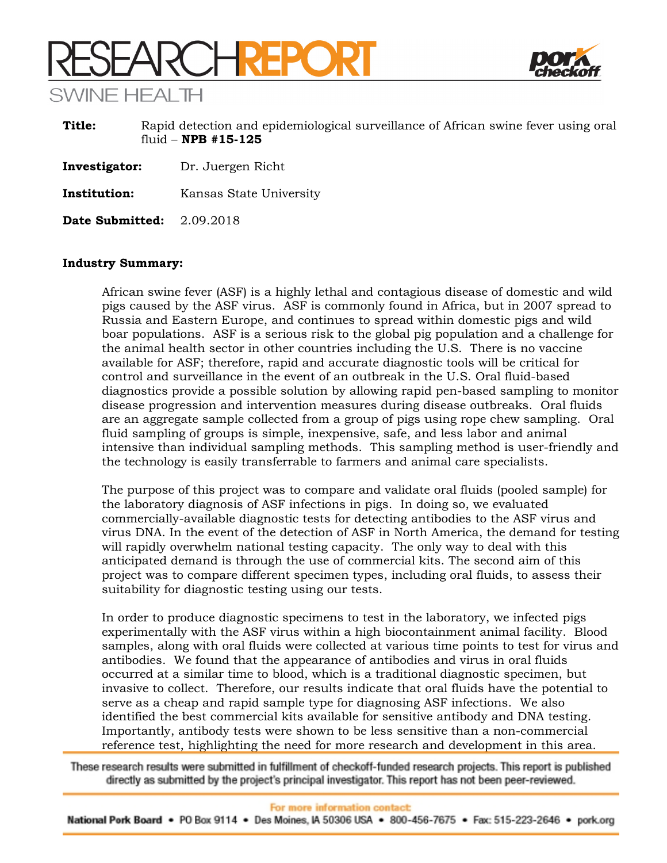# **SEARCHREPORT** SWINF HFAI TH



**Title:** Rapid detection and epidemiological surveillance of African swine fever using oral fluid – **NPB #15-125**

**Investigator:** Dr. Juergen Richt

**Institution:** Kansas State University

**Date Submitted:** 2.09.2018

# **Industry Summary:**

African swine fever (ASF) is a highly lethal and contagious disease of domestic and wild pigs caused by the ASF virus. ASF is commonly found in Africa, but in 2007 spread to Russia and Eastern Europe, and continues to spread within domestic pigs and wild boar populations. ASF is a serious risk to the global pig population and a challenge for the animal health sector in other countries including the U.S. There is no vaccine available for ASF; therefore, rapid and accurate diagnostic tools will be critical for control and surveillance in the event of an outbreak in the U.S. Oral fluid-based diagnostics provide a possible solution by allowing rapid pen-based sampling to monitor disease progression and intervention measures during disease outbreaks. Oral fluids are an aggregate sample collected from a group of pigs using rope chew sampling. Oral fluid sampling of groups is simple, inexpensive, safe, and less labor and animal intensive than individual sampling methods. This sampling method is user-friendly and the technology is easily transferrable to farmers and animal care specialists.

The purpose of this project was to compare and validate oral fluids (pooled sample) for the laboratory diagnosis of ASF infections in pigs. In doing so, we evaluated commercially-available diagnostic tests for detecting antibodies to the ASF virus and virus DNA. In the event of the detection of ASF in North America, the demand for testing will rapidly overwhelm national testing capacity. The only way to deal with this anticipated demand is through the use of commercial kits. The second aim of this project was to compare different specimen types, including oral fluids, to assess their suitability for diagnostic testing using our tests.

In order to produce diagnostic specimens to test in the laboratory, we infected pigs experimentally with the ASF virus within a high biocontainment animal facility. Blood samples, along with oral fluids were collected at various time points to test for virus and antibodies. We found that the appearance of antibodies and virus in oral fluids occurred at a similar time to blood, which is a traditional diagnostic specimen, but invasive to collect. Therefore, our results indicate that oral fluids have the potential to serve as a cheap and rapid sample type for diagnosing ASF infections. We also identified the best commercial kits available for sensitive antibody and DNA testing. Importantly, antibody tests were shown to be less sensitive than a non-commercial reference test, highlighting the need for more research and development in this area.

These research results were submitted in fulfillment of checkoff-funded research projects. This report is published directly as submitted by the project's principal investigator. This report has not been peer-reviewed.

National Pork Board • PO Box 9114 • Des Moines, IA 50306 USA • 800-456-7675 • Fax: 515-223-2646 • pork.org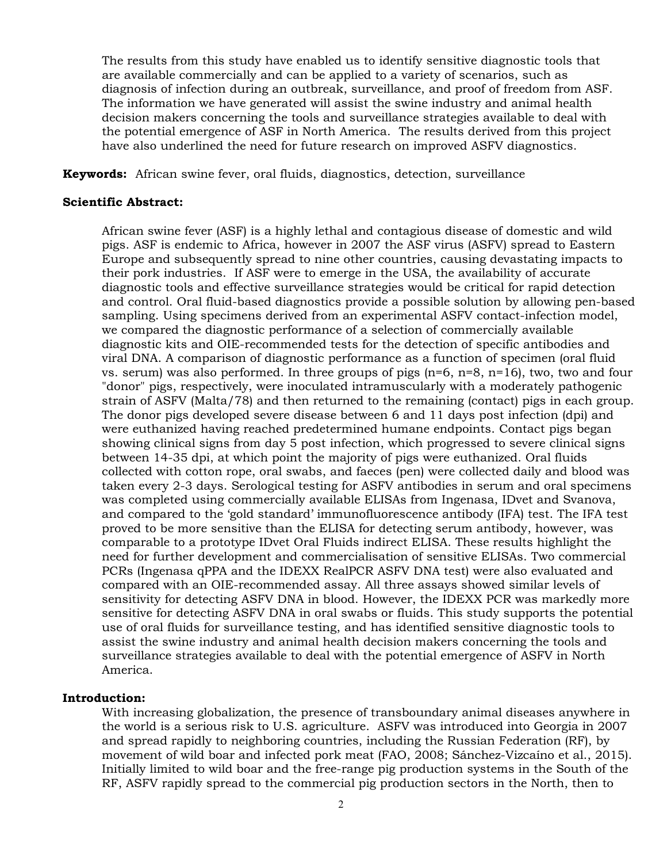The results from this study have enabled us to identify sensitive diagnostic tools that are available commercially and can be applied to a variety of scenarios, such as diagnosis of infection during an outbreak, surveillance, and proof of freedom from ASF. The information we have generated will assist the swine industry and animal health decision makers concerning the tools and surveillance strategies available to deal with the potential emergence of ASF in North America. The results derived from this project have also underlined the need for future research on improved ASFV diagnostics.

**Keywords:** African swine fever, oral fluids, diagnostics, detection, surveillance

#### **Scientific Abstract:**

African swine fever (ASF) is a highly lethal and contagious disease of domestic and wild pigs. ASF is endemic to Africa, however in 2007 the ASF virus (ASFV) spread to Eastern Europe and subsequently spread to nine other countries, causing devastating impacts to their pork industries. If ASF were to emerge in the USA, the availability of accurate diagnostic tools and effective surveillance strategies would be critical for rapid detection and control. Oral fluid-based diagnostics provide a possible solution by allowing pen-based sampling. Using specimens derived from an experimental ASFV contact-infection model, we compared the diagnostic performance of a selection of commercially available diagnostic kits and OIE-recommended tests for the detection of specific antibodies and viral DNA. A comparison of diagnostic performance as a function of specimen (oral fluid vs. serum) was also performed. In three groups of pigs  $(n=6, n=8, n=16)$ , two, two and four "donor" pigs, respectively, were inoculated intramuscularly with a moderately pathogenic strain of ASFV (Malta/78) and then returned to the remaining (contact) pigs in each group. The donor pigs developed severe disease between 6 and 11 days post infection (dpi) and were euthanized having reached predetermined humane endpoints. Contact pigs began showing clinical signs from day 5 post infection, which progressed to severe clinical signs between 14-35 dpi, at which point the majority of pigs were euthanized. Oral fluids collected with cotton rope, oral swabs, and faeces (pen) were collected daily and blood was taken every 2-3 days. Serological testing for ASFV antibodies in serum and oral specimens was completed using commercially available ELISAs from Ingenasa, IDvet and Svanova, and compared to the 'gold standard' immunofluorescence antibody (IFA) test. The IFA test proved to be more sensitive than the ELISA for detecting serum antibody, however, was comparable to a prototype IDvet Oral Fluids indirect ELISA. These results highlight the need for further development and commercialisation of sensitive ELISAs. Two commercial PCRs (Ingenasa qPPA and the IDEXX RealPCR ASFV DNA test) were also evaluated and compared with an OIE-recommended assay. All three assays showed similar levels of sensitivity for detecting ASFV DNA in blood. However, the IDEXX PCR was markedly more sensitive for detecting ASFV DNA in oral swabs or fluids. This study supports the potential use of oral fluids for surveillance testing, and has identified sensitive diagnostic tools to assist the swine industry and animal health decision makers concerning the tools and surveillance strategies available to deal with the potential emergence of ASFV in North America.

# **Introduction:**

With increasing globalization, the presence of transboundary animal diseases anywhere in the world is a serious risk to U.S. agriculture. ASFV was introduced into Georgia in 2007 and spread rapidly to neighboring countries, including the Russian Federation (RF), by movement of wild boar and infected pork meat (FAO, 2008; Sánchez-Vizcaíno et al., 2015). Initially limited to wild boar and the free-range pig production systems in the South of the RF, ASFV rapidly spread to the commercial pig production sectors in the North, then to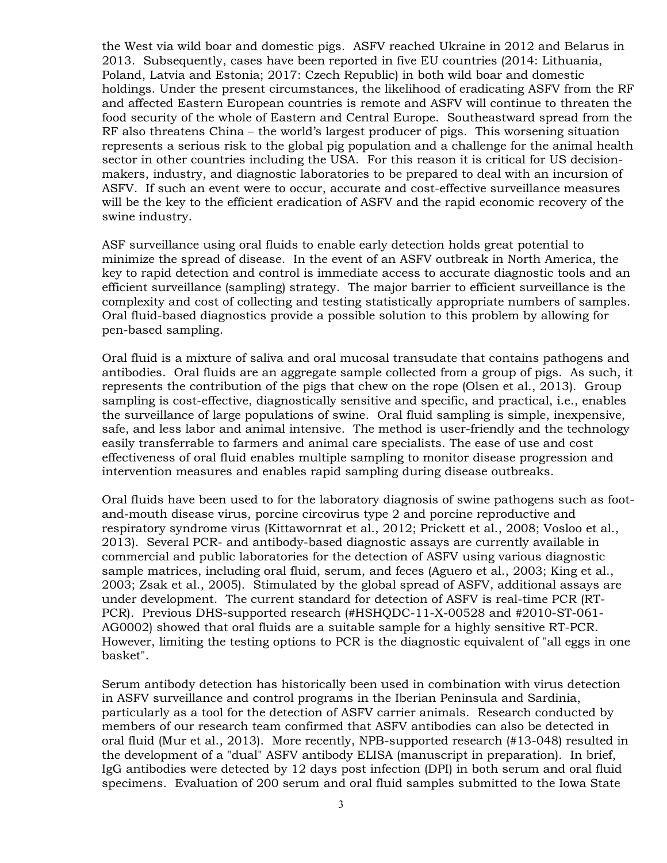the West via wild boar and domestic pigs. ASFV reached Ukraine in 2012 and Belarus in 2013. Subsequently, cases have been reported in five EU countries (2014: Lithuania, Poland, Latvia and Estonia; 2017: Czech Republic) in both wild boar and domestic holdings. Under the present circumstances, the likelihood of eradicating ASFV from the RF and affected Eastern European countries is remote and ASFV will continue to threaten the food security of the whole of Eastern and Central Europe. Southeastward spread from the RF also threatens China – the world's largest producer of pigs. This worsening situation represents a serious risk to the global pig population and a challenge for the animal health sector in other countries including the USA. For this reason it is critical for US decisionmakers, industry, and diagnostic laboratories to be prepared to deal with an incursion of ASFV. If such an event were to occur, accurate and cost-effective surveillance measures will be the key to the efficient eradication of ASFV and the rapid economic recovery of the swine industry.

ASF surveillance using oral fluids to enable early detection holds great potential to minimize the spread of disease. In the event of an ASFV outbreak in North America, the key to rapid detection and control is immediate access to accurate diagnostic tools and an efficient surveillance (sampling) strategy. The major barrier to efficient surveillance is the complexity and cost of collecting and testing statistically appropriate numbers of samples. Oral fluid-based diagnostics provide a possible solution to this problem by allowing for pen-based sampling.

Oral fluid is a mixture of saliva and oral mucosal transudate that contains pathogens and antibodies. Oral fluids are an aggregate sample collected from a group of pigs. As such, it represents the contribution of the pigs that chew on the rope (Olsen et al., 2013). Group sampling is cost-effective, diagnostically sensitive and specific, and practical, i.e., enables the surveillance of large populations of swine. Oral fluid sampling is simple, inexpensive, safe, and less labor and animal intensive. The method is user-friendly and the technology easily transferrable to farmers and animal care specialists. The ease of use and cost effectiveness of oral fluid enables multiple sampling to monitor disease progression and intervention measures and enables rapid sampling during disease outbreaks.

Oral fluids have been used to for the laboratory diagnosis of swine pathogens such as footand-mouth disease virus, porcine circovirus type 2 and porcine reproductive and respiratory syndrome virus (Kittawornrat et al., 2012; Prickett et al., 2008; Vosloo et al., 2013). Several PCR- and antibody-based diagnostic assays are currently available in commercial and public laboratories for the detection of ASFV using various diagnostic sample matrices, including oral fluid, serum, and feces (Aguero et al., 2003; King et al., 2003; Zsak et al., 2005). Stimulated by the global spread of ASFV, additional assays are under development. The current standard for detection of ASFV is real-time PCR (RT-PCR). Previous DHS-supported research (#HSHQDC-11-X-00528 and #2010-ST-061- AG0002) showed that oral fluids are a suitable sample for a highly sensitive RT-PCR. However, limiting the testing options to PCR is the diagnostic equivalent of "all eggs in one basket".

Serum antibody detection has historically been used in combination with virus detection in ASFV surveillance and control programs in the Iberian Peninsula and Sardinia, particularly as a tool for the detection of ASFV carrier animals. Research conducted by members of our research team confirmed that ASFV antibodies can also be detected in oral fluid (Mur et al., 2013). More recently, NPB-supported research (#13-048) resulted in the development of a "dual" ASFV antibody ELISA (manuscript in preparation). In brief, IgG antibodies were detected by 12 days post infection (DPI) in both serum and oral fluid specimens. Evaluation of 200 serum and oral fluid samples submitted to the Iowa State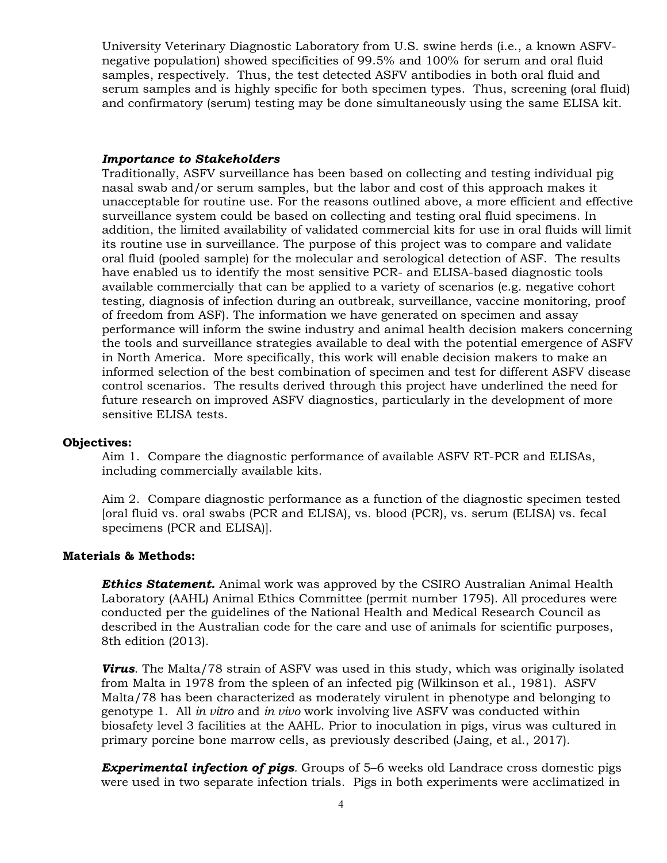University Veterinary Diagnostic Laboratory from U.S. swine herds (i.e., a known ASFVnegative population) showed specificities of 99.5% and 100% for serum and oral fluid samples, respectively. Thus, the test detected ASFV antibodies in both oral fluid and serum samples and is highly specific for both specimen types. Thus, screening (oral fluid) and confirmatory (serum) testing may be done simultaneously using the same ELISA kit.

#### *Importance to Stakeholders*

Traditionally, ASFV surveillance has been based on collecting and testing individual pig nasal swab and/or serum samples, but the labor and cost of this approach makes it unacceptable for routine use. For the reasons outlined above, a more efficient and effective surveillance system could be based on collecting and testing oral fluid specimens. In addition, the limited availability of validated commercial kits for use in oral fluids will limit its routine use in surveillance. The purpose of this project was to compare and validate oral fluid (pooled sample) for the molecular and serological detection of ASF. The results have enabled us to identify the most sensitive PCR- and ELISA-based diagnostic tools available commercially that can be applied to a variety of scenarios (e.g. negative cohort testing, diagnosis of infection during an outbreak, surveillance, vaccine monitoring, proof of freedom from ASF). The information we have generated on specimen and assay performance will inform the swine industry and animal health decision makers concerning the tools and surveillance strategies available to deal with the potential emergence of ASFV in North America. More specifically, this work will enable decision makers to make an informed selection of the best combination of specimen and test for different ASFV disease control scenarios. The results derived through this project have underlined the need for future research on improved ASFV diagnostics, particularly in the development of more sensitive ELISA tests.

#### **Objectives:**

Aim 1. Compare the diagnostic performance of available ASFV RT-PCR and ELISAs, including commercially available kits.

Aim 2. Compare diagnostic performance as a function of the diagnostic specimen tested [oral fluid vs. oral swabs (PCR and ELISA), vs. blood (PCR), vs. serum (ELISA) vs. fecal specimens (PCR and ELISA)].

#### **Materials & Methods:**

*Ethics Statement.* Animal work was approved by the CSIRO Australian Animal Health Laboratory (AAHL) Animal Ethics Committee (permit number 1795). All procedures were conducted per the guidelines of the National Health and Medical Research Council as described in the Australian code for the care and use of animals for scientific purposes, 8th edition (2013).

*Virus*. The Malta/78 strain of ASFV was used in this study, which was originally isolated from Malta in 1978 from the spleen of an infected pig (Wilkinson et al., 1981). ASFV Malta/78 has been characterized as moderately virulent in phenotype and belonging to genotype 1. All *in vitro* and *in vivo* work involving live ASFV was conducted within biosafety level 3 facilities at the AAHL. Prior to inoculation in pigs, virus was cultured in primary porcine bone marrow cells, as previously described (Jaing, et al., 2017).

*Experimental infection of pigs.* Groups of 5–6 weeks old Landrace cross domestic pigs were used in two separate infection trials. Pigs in both experiments were acclimatized in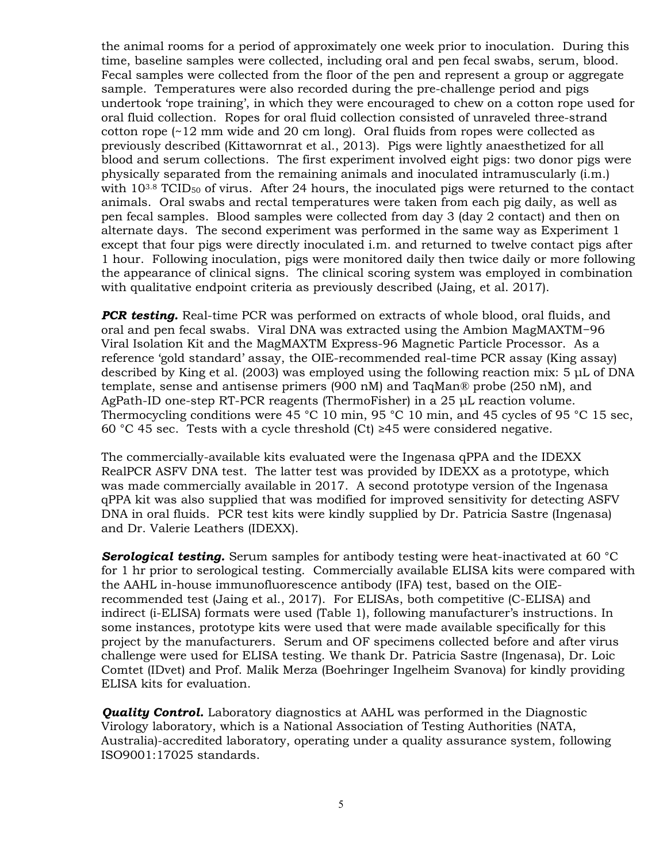the animal rooms for a period of approximately one week prior to inoculation. During this time, baseline samples were collected, including oral and pen fecal swabs, serum, blood. Fecal samples were collected from the floor of the pen and represent a group or aggregate sample. Temperatures were also recorded during the pre-challenge period and pigs undertook 'rope training', in which they were encouraged to chew on a cotton rope used for oral fluid collection. Ropes for oral fluid collection consisted of unraveled three-strand cotton rope (~12 mm wide and 20 cm long). Oral fluids from ropes were collected as previously described (Kittawornrat et al., 2013). Pigs were lightly anaesthetized for all blood and serum collections. The first experiment involved eight pigs: two donor pigs were physically separated from the remaining animals and inoculated intramuscularly (i.m.) with  $10^{3.8}$  TCID<sub>50</sub> of virus. After 24 hours, the inoculated pigs were returned to the contact animals. Oral swabs and rectal temperatures were taken from each pig daily, as well as pen fecal samples. Blood samples were collected from day 3 (day 2 contact) and then on alternate days. The second experiment was performed in the same way as Experiment 1 except that four pigs were directly inoculated i.m. and returned to twelve contact pigs after 1 hour. Following inoculation, pigs were monitored daily then twice daily or more following the appearance of clinical signs. The clinical scoring system was employed in combination with qualitative endpoint criteria as previously described (Jaing, et al. 2017).

*PCR testing.* Real-time PCR was performed on extracts of whole blood, oral fluids, and oral and pen fecal swabs. Viral DNA was extracted using the Ambion MagMAXTM−96 Viral Isolation Kit and the MagMAXTM Express-96 Magnetic Particle Processor. As a reference 'gold standard' assay, the OIE-recommended real-time PCR assay (King assay) described by King et al. (2003) was employed using the following reaction mix: 5 μL of DNA template, sense and antisense primers (900 nM) and TaqMan® probe (250 nM), and AgPath-ID one-step RT-PCR reagents (ThermoFisher) in a 25 μL reaction volume. Thermocycling conditions were 45 °C 10 min, 95 °C 10 min, and 45 cycles of 95 °C 15 sec, 60 °C 45 sec. Tests with a cycle threshold (Ct) ≥45 were considered negative.

The commercially-available kits evaluated were the Ingenasa qPPA and the IDEXX RealPCR ASFV DNA test. The latter test was provided by IDEXX as a prototype, which was made commercially available in 2017. A second prototype version of the Ingenasa qPPA kit was also supplied that was modified for improved sensitivity for detecting ASFV DNA in oral fluids. PCR test kits were kindly supplied by Dr. Patricia Sastre (Ingenasa) and Dr. Valerie Leathers (IDEXX).

**Serological testing.** Serum samples for antibody testing were heat-inactivated at 60 °C for 1 hr prior to serological testing. Commercially available ELISA kits were compared with the AAHL in-house immunofluorescence antibody (IFA) test, based on the OIErecommended test (Jaing et al., 2017). For ELISAs, both competitive (C-ELISA) and indirect (i-ELISA) formats were used (Table 1), following manufacturer's instructions. In some instances, prototype kits were used that were made available specifically for this project by the manufacturers. Serum and OF specimens collected before and after virus challenge were used for ELISA testing. We thank Dr. Patricia Sastre (Ingenasa), Dr. Loic Comtet (IDvet) and Prof. Malik Merza (Boehringer Ingelheim Svanova) for kindly providing ELISA kits for evaluation.

**Quality Control.** Laboratory diagnostics at AAHL was performed in the Diagnostic Virology laboratory, which is a National Association of Testing Authorities (NATA, Australia)-accredited laboratory, operating under a quality assurance system, following ISO9001:17025 standards.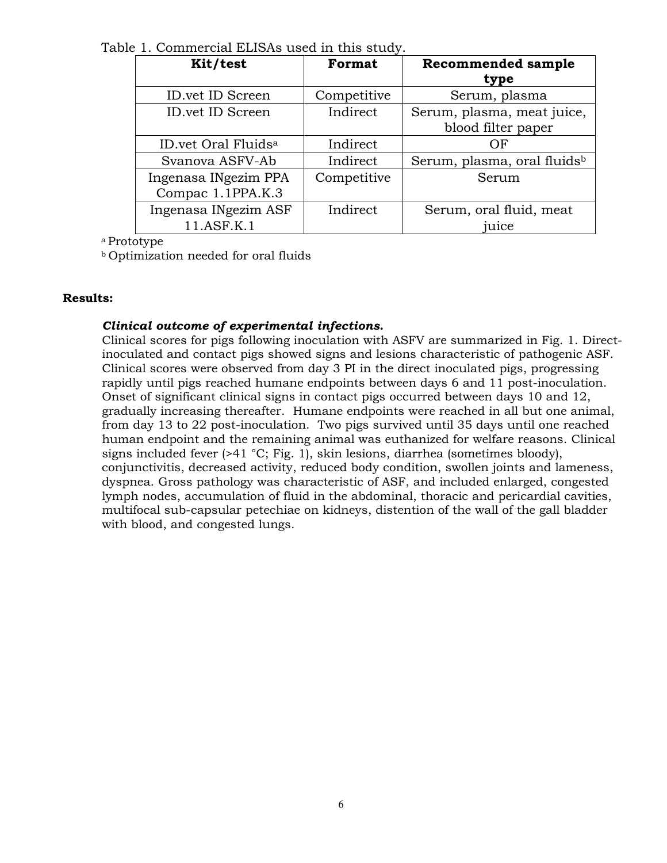Table 1. Commercial ELISAs used in this study.

| Kit/test                        | Format      | <b>Recommended sample</b>               |  |
|---------------------------------|-------------|-----------------------------------------|--|
|                                 |             | type                                    |  |
| <b>ID.vet ID Screen</b>         | Competitive | Serum, plasma                           |  |
| <b>ID.vet ID Screen</b>         | Indirect    | Serum, plasma, meat juice,              |  |
|                                 |             | blood filter paper                      |  |
| ID.vet Oral Fluids <sup>a</sup> | Indirect    | OF                                      |  |
| Svanova ASFV-Ab                 | Indirect    | Serum, plasma, oral fluids <sup>b</sup> |  |
| Ingenasa INgezim PPA            | Competitive | Serum                                   |  |
| Compac 1.1PPA.K.3               |             |                                         |  |
| Ingenasa INgezim ASF            | Indirect    | Serum, oral fluid, meat                 |  |
| 11.ASF.K.1                      |             | juice                                   |  |

a Prototype

b Optimization needed for oral fluids

# **Results:**

# *Clinical outcome of experimental infections.*

Clinical scores for pigs following inoculation with ASFV are summarized in Fig. 1. Directinoculated and contact pigs showed signs and lesions characteristic of pathogenic ASF. Clinical scores were observed from day 3 PI in the direct inoculated pigs, progressing rapidly until pigs reached humane endpoints between days 6 and 11 post-inoculation. Onset of significant clinical signs in contact pigs occurred between days 10 and 12, gradually increasing thereafter. Humane endpoints were reached in all but one animal, from day 13 to 22 post-inoculation. Two pigs survived until 35 days until one reached human endpoint and the remaining animal was euthanized for welfare reasons. Clinical signs included fever  $(>41 \degree C;$  Fig. 1), skin lesions, diarrhea (sometimes bloody), conjunctivitis, decreased activity, reduced body condition, swollen joints and lameness, dyspnea. Gross pathology was characteristic of ASF, and included enlarged, congested lymph nodes, accumulation of fluid in the abdominal, thoracic and pericardial cavities, multifocal sub-capsular petechiae on kidneys, distention of the wall of the gall bladder with blood, and congested lungs.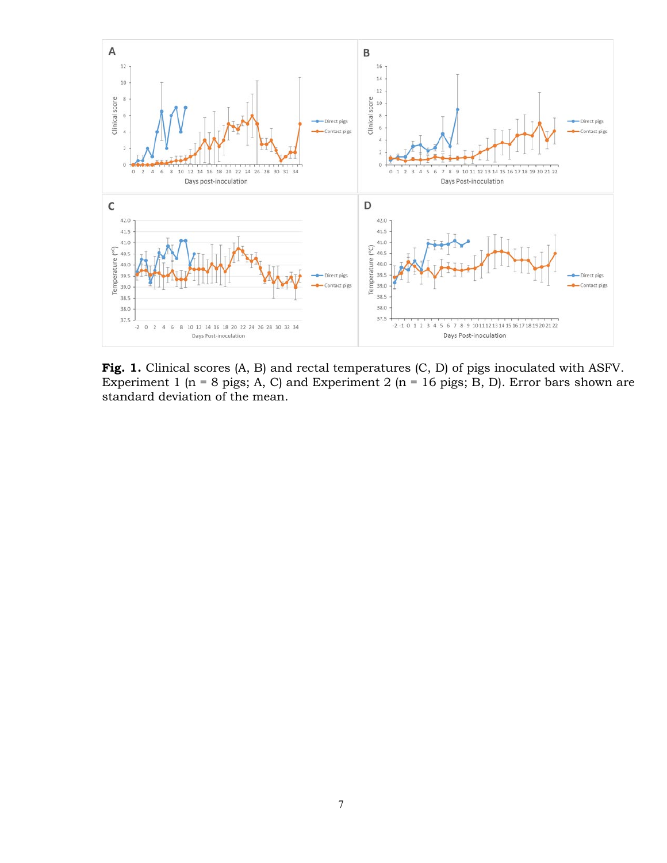

Fig. 1. Clinical scores (A, B) and rectal temperatures (C, D) of pigs inoculated with ASFV. Experiment 1 (n = 8 pigs; A, C) and Experiment 2 (n = 16 pigs; B, D). Error bars shown are standard deviation of the mean.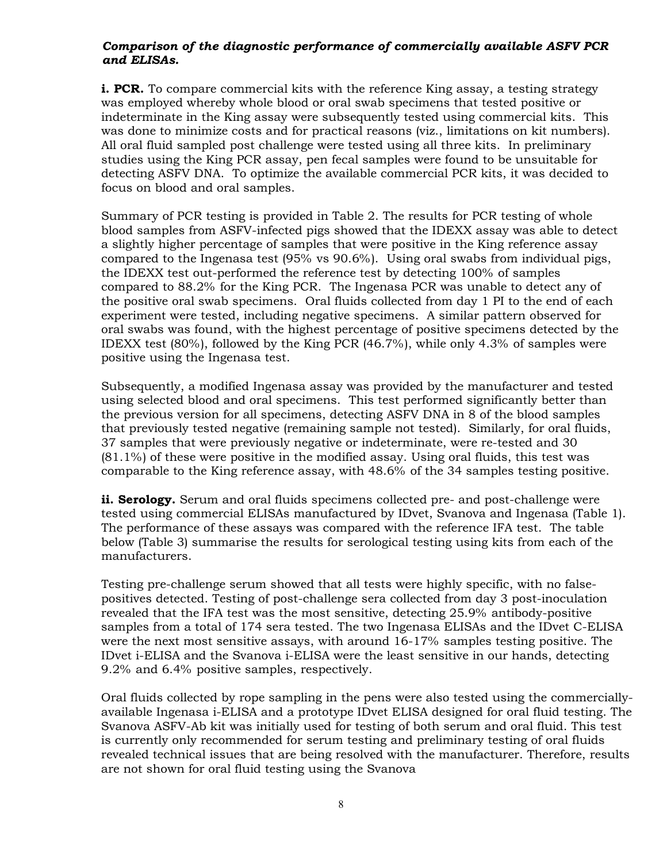# *Comparison of the diagnostic performance of commercially available ASFV PCR and ELISAs.*

**i. PCR.** To compare commercial kits with the reference King assay, a testing strategy was employed whereby whole blood or oral swab specimens that tested positive or indeterminate in the King assay were subsequently tested using commercial kits. This was done to minimize costs and for practical reasons (viz., limitations on kit numbers). All oral fluid sampled post challenge were tested using all three kits. In preliminary studies using the King PCR assay, pen fecal samples were found to be unsuitable for detecting ASFV DNA. To optimize the available commercial PCR kits, it was decided to focus on blood and oral samples.

Summary of PCR testing is provided in Table 2. The results for PCR testing of whole blood samples from ASFV-infected pigs showed that the IDEXX assay was able to detect a slightly higher percentage of samples that were positive in the King reference assay compared to the Ingenasa test (95% vs 90.6%). Using oral swabs from individual pigs, the IDEXX test out-performed the reference test by detecting 100% of samples compared to 88.2% for the King PCR. The Ingenasa PCR was unable to detect any of the positive oral swab specimens. Oral fluids collected from day 1 PI to the end of each experiment were tested, including negative specimens. A similar pattern observed for oral swabs was found, with the highest percentage of positive specimens detected by the IDEXX test (80%), followed by the King PCR (46.7%), while only 4.3% of samples were positive using the Ingenasa test.

Subsequently, a modified Ingenasa assay was provided by the manufacturer and tested using selected blood and oral specimens. This test performed significantly better than the previous version for all specimens, detecting ASFV DNA in 8 of the blood samples that previously tested negative (remaining sample not tested). Similarly, for oral fluids, 37 samples that were previously negative or indeterminate, were re-tested and 30 (81.1%) of these were positive in the modified assay. Using oral fluids, this test was comparable to the King reference assay, with 48.6% of the 34 samples testing positive.

**ii. Serology.** Serum and oral fluids specimens collected pre- and post-challenge were tested using commercial ELISAs manufactured by IDvet, Svanova and Ingenasa (Table 1). The performance of these assays was compared with the reference IFA test. The table below (Table 3) summarise the results for serological testing using kits from each of the manufacturers.

Testing pre-challenge serum showed that all tests were highly specific, with no falsepositives detected. Testing of post-challenge sera collected from day 3 post-inoculation revealed that the IFA test was the most sensitive, detecting 25.9% antibody-positive samples from a total of 174 sera tested. The two Ingenasa ELISAs and the IDvet C-ELISA were the next most sensitive assays, with around 16-17% samples testing positive. The IDvet i-ELISA and the Svanova i-ELISA were the least sensitive in our hands, detecting 9.2% and 6.4% positive samples, respectively.

Oral fluids collected by rope sampling in the pens were also tested using the commerciallyavailable Ingenasa i-ELISA and a prototype IDvet ELISA designed for oral fluid testing. The Svanova ASFV-Ab kit was initially used for testing of both serum and oral fluid. This test is currently only recommended for serum testing and preliminary testing of oral fluids revealed technical issues that are being resolved with the manufacturer. Therefore, results are not shown for oral fluid testing using the Svanova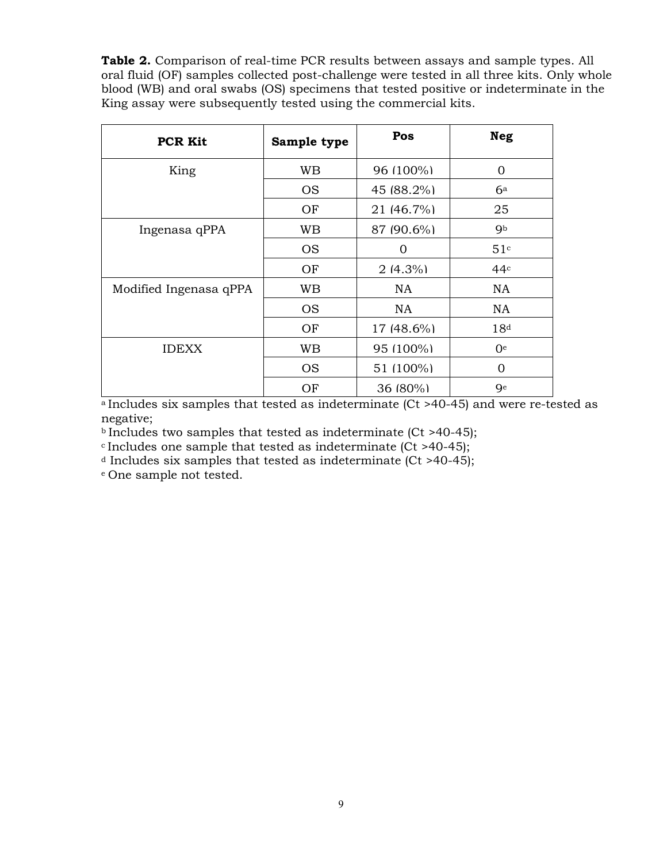**Table 2.** Comparison of real-time PCR results between assays and sample types. All oral fluid (OF) samples collected post-challenge were tested in all three kits. Only whole blood (WB) and oral swabs (OS) specimens that tested positive or indeterminate in the King assay were subsequently tested using the commercial kits.

| <b>PCR Kit</b>         | Sample type | Pos        | <b>Neg</b>      |
|------------------------|-------------|------------|-----------------|
| King                   | <b>WB</b>   | 96 (100%)  | $\overline{0}$  |
|                        | <b>OS</b>   | 45 (88.2%) | $6^{\rm a}$     |
|                        | OF          | 21 (46.7%) | 25              |
| Ingenasa qPPA          | WB          | 87 (90.6%) | <b>g</b> b      |
|                        | <b>OS</b>   | $\Omega$   | 51c             |
|                        | OF          | $2(4.3\%)$ | 44c             |
| Modified Ingenasa qPPA | <b>WB</b>   | NA         | <b>NA</b>       |
|                        | <b>OS</b>   | NA.        | <b>NA</b>       |
|                        | OF          | 17 (48.6%) | 18 <sup>d</sup> |
| <b>IDEXX</b>           | WB          | 95 (100%)  | 0 <sup>e</sup>  |
|                        | <b>OS</b>   | 51 (100%)  | $\overline{0}$  |
|                        | OF          | 36 (80%)   | <b>Q</b> e      |

a Includes six samples that tested as indeterminate (Ct >40-45) and were re-tested as negative;

 $b$  Includes two samples that tested as indeterminate (Ct >40-45);

 $c$  Includes one sample that tested as indeterminate (Ct >40-45);

 $d$  Includes six samples that tested as indeterminate (Ct >40-45);

e One sample not tested.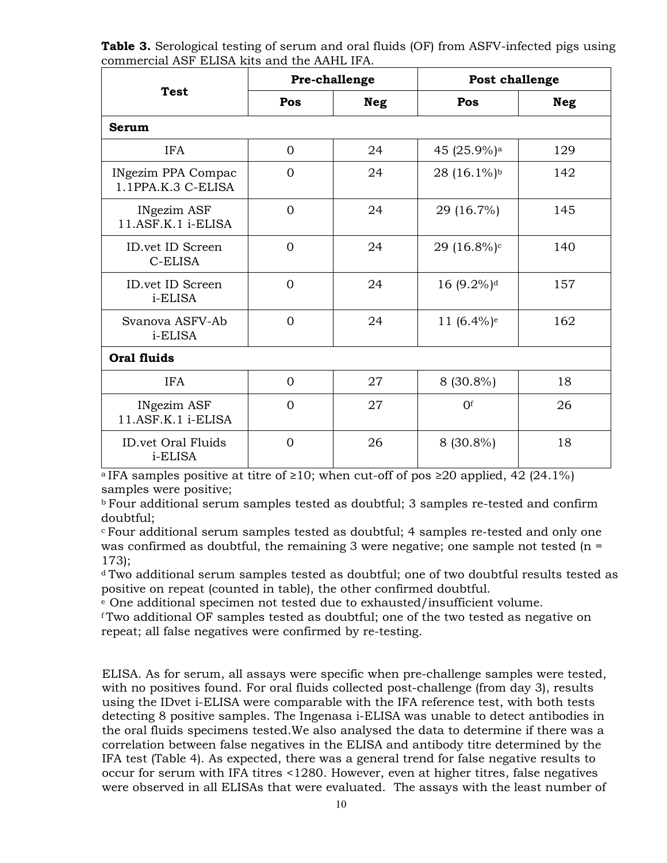**Table 3.** Serological testing of serum and oral fluids (OF) from ASFV-infected pigs using commercial ASF ELISA kits and the AAHL IFA.

|                                                 | Pre-challenge  |            |                           | Post challenge |  |  |  |
|-------------------------------------------------|----------------|------------|---------------------------|----------------|--|--|--|
| <b>Test</b>                                     | Pos            | <b>Neg</b> | Pos                       | <b>Neg</b>     |  |  |  |
| <b>Serum</b>                                    |                |            |                           |                |  |  |  |
| <b>IFA</b>                                      | $\Omega$       | 24         | 45 (25.9%) <sup>a</sup>   | 129            |  |  |  |
| <b>INgezim PPA Compac</b><br>1.1PPA.K.3 C-ELISA | $\Omega$       | 24         | 28 (16.1%) <sup>b</sup>   | 142            |  |  |  |
| <b>INgezim ASF</b><br>11.ASF.K.1 i-ELISA        | $\Omega$       | 24         | 29 (16.7%)                | 145            |  |  |  |
| ID.vet ID Screen<br>C-ELISA                     | $\Omega$       | 24         | 29 (16.8%) <sup>c</sup>   | 140            |  |  |  |
| ID.vet ID Screen<br>i-ELISA                     | $\overline{0}$ | 24         | 16 (9.2%) <sup>d</sup>    | 157            |  |  |  |
| Svanova ASFV-Ab<br>i-ELISA                      | $\Omega$       | 24         | 11 $(6.4\%)$ <sup>e</sup> | 162            |  |  |  |
| <b>Oral fluids</b>                              |                |            |                           |                |  |  |  |
| <b>IFA</b>                                      | $\Omega$       | 27         | $8(30.8\%)$               | 18             |  |  |  |
| <b>INgezim ASF</b><br>11.ASF.K.1 i-ELISA        | $\Omega$       | 27         | $\Omega$ f                | 26             |  |  |  |
| <b>ID.vet Oral Fluids</b><br>i-ELISA            | $\overline{0}$ | 26         | $8(30.8\%)$               | 18             |  |  |  |

a IFA samples positive at titre of ≥10; when cut-off of pos ≥20 applied, 42 (24.1%) samples were positive;

b Four additional serum samples tested as doubtful; 3 samples re-tested and confirm doubtful;

c Four additional serum samples tested as doubtful; 4 samples re-tested and only one was confirmed as doubtful, the remaining 3 were negative; one sample not tested  $(n =$ 173);

d Two additional serum samples tested as doubtful; one of two doubtful results tested as positive on repeat (counted in table), the other confirmed doubtful.

<sup>e</sup> One additional specimen not tested due to exhausted/insufficient volume.

f Two additional OF samples tested as doubtful; one of the two tested as negative on repeat; all false negatives were confirmed by re-testing.

ELISA. As for serum, all assays were specific when pre-challenge samples were tested, with no positives found. For oral fluids collected post-challenge (from day 3), results using the IDvet i-ELISA were comparable with the IFA reference test, with both tests detecting 8 positive samples. The Ingenasa i-ELISA was unable to detect antibodies in the oral fluids specimens tested.We also analysed the data to determine if there was a correlation between false negatives in the ELISA and antibody titre determined by the IFA test (Table 4). As expected, there was a general trend for false negative results to occur for serum with IFA titres <1280. However, even at higher titres, false negatives were observed in all ELISAs that were evaluated. The assays with the least number of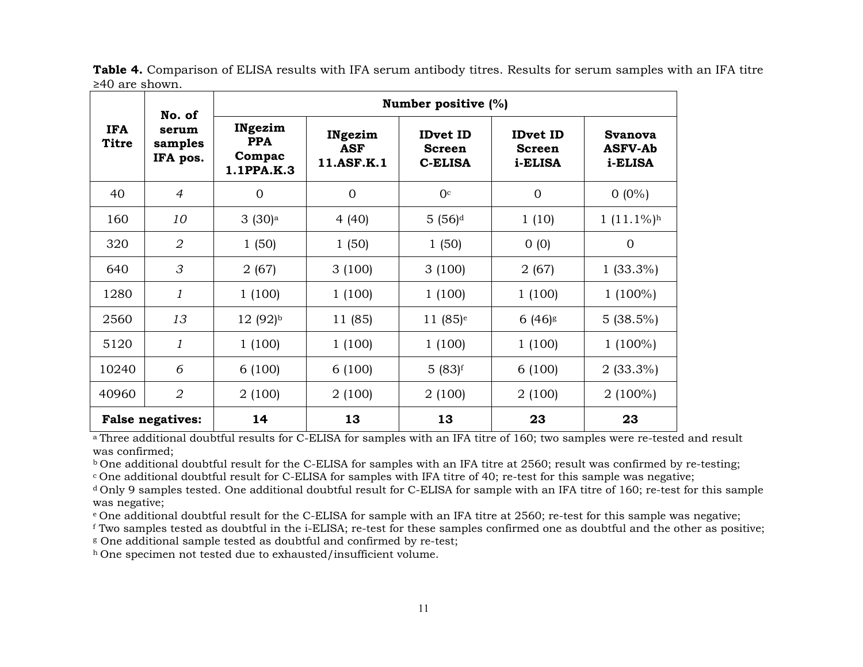|                            | No. of<br>serum<br>samples<br>IFA pos. | Number positive (%)                           |                                     |                                                    |                                             |                                             |
|----------------------------|----------------------------------------|-----------------------------------------------|-------------------------------------|----------------------------------------------------|---------------------------------------------|---------------------------------------------|
| <b>IFA</b><br><b>Titre</b> |                                        | INgezim<br><b>PPA</b><br>Compac<br>1.1PPA.K.3 | INgezim<br><b>ASF</b><br>11.ASF.K.1 | <b>IDvet ID</b><br><b>Screen</b><br><b>C-ELISA</b> | <b>IDvet ID</b><br><b>Screen</b><br>i-ELISA | <b>Svanova</b><br><b>ASFV-Ab</b><br>i-ELISA |
| 40                         | $\overline{4}$                         | $\mathbf{0}$                                  | $\Omega$                            | 0 <sup>c</sup>                                     | $\overline{0}$                              | $0(0\%)$                                    |
| 160                        | 10                                     | 3(30) <sup>a</sup>                            | 4 (40)                              | $5(56)^d$                                          | 1(10)                                       | $1(11.1\%)^h$                               |
| 320                        | $\overline{2}$                         | 1(50)                                         | 1(50)                               | 1(50)                                              | 0(0)                                        | $\overline{0}$                              |
| 640                        | 3                                      | 2(67)                                         | 3(100)                              | 3(100)                                             | 2(67)                                       | $1(33.3\%)$                                 |
| 1280                       | 1                                      | 1(100)                                        | 1(100)                              | 1(100)                                             | 1(100)                                      | $1(100\%)$                                  |
| 2560                       | 13                                     | $12(92)$ <sup>b</sup>                         | 11 (85)                             | $11(85)$ <sup>e</sup>                              | $6(46)$ s                                   | $5(38.5\%)$                                 |
| 5120                       | 1                                      | 1(100)                                        | 1(100)                              | 1(100)                                             | 1(100)                                      | $1(100\%)$                                  |
| 10240                      | 6                                      | 6(100)                                        | 6(100)                              | $5(83)$ f                                          | 6(100)                                      | $2(33.3\%)$                                 |
| 40960                      | 2                                      | 2(100)                                        | 2(100)                              | 2(100)                                             | 2(100)                                      | $2(100\%)$                                  |
|                            | <b>False negatives:</b>                | 14                                            | 13                                  | 13                                                 | 23                                          | 23                                          |

**Table 4.** Comparison of ELISA results with IFA serum antibody titres. Results for serum samples with an IFA titre ≥40 are shown.

a Three additional doubtful results for C-ELISA for samples with an IFA titre of 160; two samples were re-tested and result was confirmed;

b One additional doubtful result for the C-ELISA for samples with an IFA titre at 2560; result was confirmed by re-testing;

c One additional doubtful result for C-ELISA for samples with IFA titre of 40; re-test for this sample was negative;

d Only 9 samples tested. One additional doubtful result for C-ELISA for sample with an IFA titre of 160; re-test for this sample was negative;

e One additional doubtful result for the C-ELISA for sample with an IFA titre at 2560; re-test for this sample was negative;

<sup>f</sup> Two samples tested as doubtful in the i-ELISA; re-test for these samples confirmed one as doubtful and the other as positive;

<sup>g</sup> One additional sample tested as doubtful and confirmed by re-test;

h One specimen not tested due to exhausted/insufficient volume.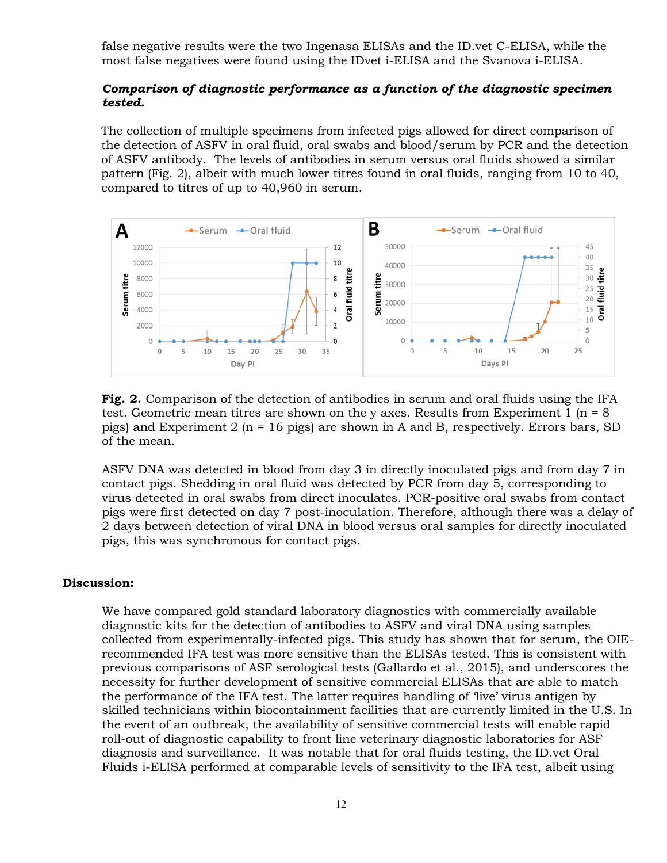false negative results were the two Ingenasa ELISAs and the ID.vet C-ELISA, while the most false negatives were found using the IDvet i-ELISA and the Svanova i-ELISA.

#### *Comparison of diagnostic performance as a function of the diagnostic specimen tested.*

The collection of multiple specimens from infected pigs allowed for direct comparison of the detection of ASFV in oral fluid, oral swabs and blood/serum by PCR and the detection of ASFV antibody. The levels of antibodies in serum versus oral fluids showed a similar pattern (Fig. 2), albeit with much lower titres found in oral fluids, ranging from 10 to 40, compared to titres of up to 40,960 in serum.



**Fig. 2.** Comparison of the detection of antibodies in serum and oral fluids using the IFA test. Geometric mean titres are shown on the y axes. Results from Experiment 1 ( $n = 8$ ) pigs) and Experiment 2 ( $n = 16$  pigs) are shown in A and B, respectively. Errors bars, SD of the mean.

ASFV DNA was detected in blood from day 3 in directly inoculated pigs and from day 7 in contact pigs. Shedding in oral fluid was detected by PCR from day 5, corresponding to virus detected in oral swabs from direct inoculates. PCR-positive oral swabs from contact pigs were first detected on day 7 post-inoculation. Therefore, although there was a delay of 2 days between detection of viral DNA in blood versus oral samples for directly inoculated pigs, this was synchronous for contact pigs.

#### **Discussion:**

We have compared gold standard laboratory diagnostics with commercially available diagnostic kits for the detection of antibodies to ASFV and viral DNA using samples collected from experimentally-infected pigs. This study has shown that for serum, the OIErecommended IFA test was more sensitive than the ELISAs tested. This is consistent with previous comparisons of ASF serological tests (Gallardo et al., 2015), and underscores the necessity for further development of sensitive commercial ELISAs that are able to match the performance of the IFA test. The latter requires handling of 'live' virus antigen by skilled technicians within biocontainment facilities that are currently limited in the U.S. In the event of an outbreak, the availability of sensitive commercial tests will enable rapid roll-out of diagnostic capability to front line veterinary diagnostic laboratories for ASF diagnosis and surveillance. It was notable that for oral fluids testing, the ID.vet Oral Fluids i-ELISA performed at comparable levels of sensitivity to the IFA test, albeit using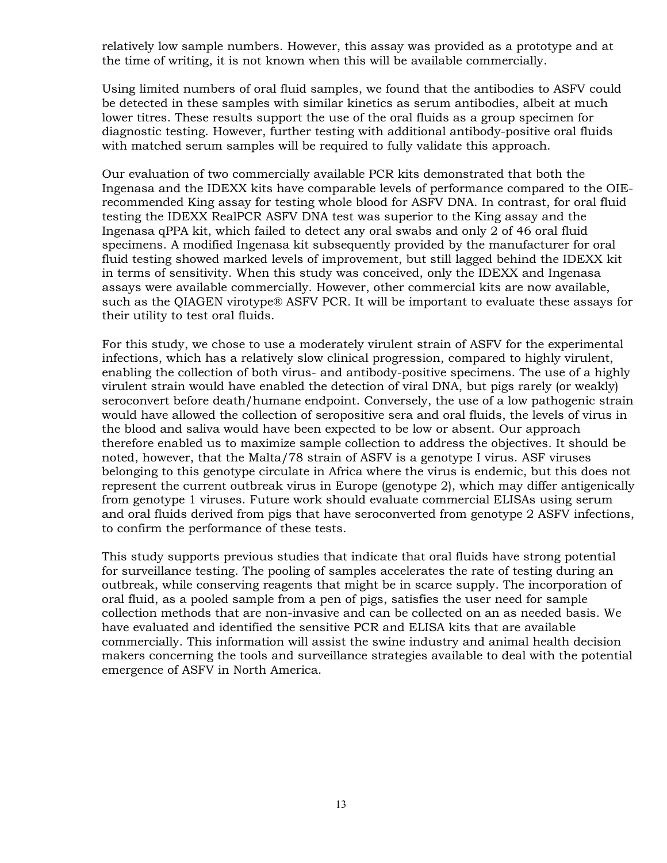relatively low sample numbers. However, this assay was provided as a prototype and at the time of writing, it is not known when this will be available commercially.

Using limited numbers of oral fluid samples, we found that the antibodies to ASFV could be detected in these samples with similar kinetics as serum antibodies, albeit at much lower titres. These results support the use of the oral fluids as a group specimen for diagnostic testing. However, further testing with additional antibody-positive oral fluids with matched serum samples will be required to fully validate this approach.

Our evaluation of two commercially available PCR kits demonstrated that both the Ingenasa and the IDEXX kits have comparable levels of performance compared to the OIErecommended King assay for testing whole blood for ASFV DNA. In contrast, for oral fluid testing the IDEXX RealPCR ASFV DNA test was superior to the King assay and the Ingenasa qPPA kit, which failed to detect any oral swabs and only 2 of 46 oral fluid specimens. A modified Ingenasa kit subsequently provided by the manufacturer for oral fluid testing showed marked levels of improvement, but still lagged behind the IDEXX kit in terms of sensitivity. When this study was conceived, only the IDEXX and Ingenasa assays were available commercially. However, other commercial kits are now available, such as the QIAGEN virotype® ASFV PCR. It will be important to evaluate these assays for their utility to test oral fluids.

For this study, we chose to use a moderately virulent strain of ASFV for the experimental infections, which has a relatively slow clinical progression, compared to highly virulent, enabling the collection of both virus- and antibody-positive specimens. The use of a highly virulent strain would have enabled the detection of viral DNA, but pigs rarely (or weakly) seroconvert before death/humane endpoint. Conversely, the use of a low pathogenic strain would have allowed the collection of seropositive sera and oral fluids, the levels of virus in the blood and saliva would have been expected to be low or absent. Our approach therefore enabled us to maximize sample collection to address the objectives. It should be noted, however, that the Malta/78 strain of ASFV is a genotype I virus. ASF viruses belonging to this genotype circulate in Africa where the virus is endemic, but this does not represent the current outbreak virus in Europe (genotype 2), which may differ antigenically from genotype 1 viruses. Future work should evaluate commercial ELISAs using serum and oral fluids derived from pigs that have seroconverted from genotype 2 ASFV infections, to confirm the performance of these tests.

This study supports previous studies that indicate that oral fluids have strong potential for surveillance testing. The pooling of samples accelerates the rate of testing during an outbreak, while conserving reagents that might be in scarce supply. The incorporation of oral fluid, as a pooled sample from a pen of pigs, satisfies the user need for sample collection methods that are non-invasive and can be collected on an as needed basis. We have evaluated and identified the sensitive PCR and ELISA kits that are available commercially. This information will assist the swine industry and animal health decision makers concerning the tools and surveillance strategies available to deal with the potential emergence of ASFV in North America.